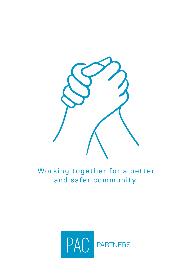

Working together for a better and safer community.

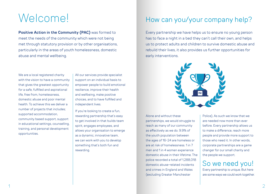# Welcome!

**Positive Action in the Community (PAC)** was formed to meet the needs of the community which were not being met through statutory provision or by other organisations, particularly in the areas of youth homelessness, domestic abuse and mental wellbeing.

We are a local registered charity with the vision to have a community that gives the greatest opportunity for a safe, fulfilled and aspirational life, free from, homelessness, domestic abuse and poor mental health. To achieve this we deliver a number of projects that includes; supported accommodation, community based support, support in educational settings, counselling, training, and personal development opportunities.

All our services provide specialist support on an individual basis to empower people to build emotional resilience, improve their health and wellbeing, make positive choices, and to have fulfilled and independent lives.

If you're looking to create a fun, rewarding partnership that's easy to get involved in that builds team spirit, engages employees, and allows your organisation to emerge as a dynamic, innovative team, we can work with you to develop something that's both fun and rewarding.

### How can you/your company help?

Every partnership we have helps us to ensure no young person has to face a night in a bed they can't call their own, and helps us to protect adults and children to survive domestic abuse and rebuild their lives, it also provides us further opportunities for early interventions.



Alone and without these partnerships, we would struggle to reach as many of our community as effectively as we do. 9.9% of the youth population between the ages of 16-24 are homeless or are at risk of homelessness. 1 in 7 men and 1 in 4 women experience domestic abuse in their lifetime. The police recorded a total of 1,288,018 domestic abuse-related incidents and crimes in England and Wales (excluding Greater Manchester

Police), As such we know that we are needed now more than ever before. Every partnership allows us to make a difference, reach more people and provide more support to those who need it. In other words corporate partnerships are a game changer for our small charity and the people we support.

### So we need you!

Every partnership is unique. But here are some ways we could work together.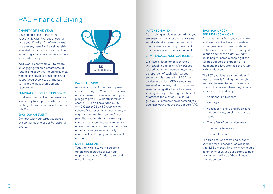## PAC Financial Giving

### CHARITY OF THE YEAR

Developing a close, long-term relationship with PAC and choosing us as your Charity of the Year partner has so many benefits. As well as raising essential funds for our work, you'll be enhancing your reputation as a socially responsible company.

We'll work closely with you to create an engaging, tailored programme of fundraising activities including events, workplace activities, challenges, and support you every step of the way to make the most of this unique opportunity.

#### FUNDRAISING COLLECTION BOXES

Fundraising with collection boxes is a simple way to support us whether you're hosting a fancy dress day, cake sale, or fun day.

### SPONSOR AN EVENT

Connect with your target audience by sponsoring one of our Fundraising events.



### PAYROLL GIVING

Anyone can give, if their pay or pension is taxed through PAYE and the employer offers a Payroll. This means that if you pledge to give £10 a month, it will only cost you £8 on a basic rate tax, £6 on 40% tax or £5 on 50% tax giving scheme. You never know, your employer might also match fund some of your payroll giving donations. It's easy – just choose an amount you want to donate on each payday and the donation comes out of your wages automatically. You can cancel or change your donation at any time.

### STAFF FUNDRAISING

Together with you, we will create a fundraising plan that allows your employees to raise funds in a fun and engaging way.

#### MATCHED GIVING

By matching employees' donations, you are ensuring that your company cares equally about a cause that matters to them, as well as doubling the impact of their donation in the local community.

### CRM - ENGAGE YOUR CUSTOMERS

We have a history of collaborating with exciting brands on CRM (Cause related marketing) campaigns, where a proportion of each sale/ agreed set amount is donated to PAC for a particular product. CRM campaigns are an effective way to boost your own sales by being attached a local award winning charity and also generate vital awareness for our work. A CRM will give your customers the opportunity to purchase your product and support PAC.

### SPONSOR A ROOM FOR JUST £35 A MONTH

By sponsoring a Room, you can make a difference in the lives of homeless young people and domestic abuse victims and their families. It's not just about a bed for the night, your gift could help vulnerable people get the tailored support they need to live independent lives and face the future with confidence.

The £35 you donate a month doesn't just go towards funding the room, it may also be used to help the service user in other areas where they require additional help and support:

- Additional 1-1 Support
- Activities
- Access to training and life skills for independence, employment and a home
- The safety of our service users
- Emergency toiletries
- Essential foods.

The true cost of a room and support services for our service users is more than £35 a month. This is why we need a community of valued supporters to help us change the lives of those in need that we support.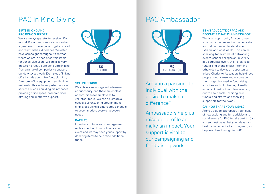### PAC In Kind Giving

### GIFTS IN KIND AND PRO BONO SUPPORT

We are always grateful to receive gifts in kind. Donations of new items can be a great way for everyone to get involved and really make a difference. We often have campaigns throughout the year where we are in need of certain items for our service users. We are also very grateful to receive pro bono gifts in kind from a range of companies to support our day-to-day work. Examples of in kind gifts include goods like food, clothing, furniture, office equipment, and building materials. This includes performance of services, such as building maintenance, providing office space, boiler repair or offering administrative support.



#### VOLUNTEERING

We actively encourage volunteerism at our charity, and there are endless opportunities for employees to volunteer for us. We can co-create a bespoke volunteering programme for employees using a time-tiered schedule to accommodate every employee's needs.

### RAFFLES

From time to time we often organise raffles whether this is online or at an event and we may need your support by donating items to help raise additional funds.

### PAC Ambassador



Are you a passionate individual with the desire to make a difference?

Ambassadors help us raise our profile and make an impact. Your support is vital to our campaigning and fundraising work.

### BE AN ADVOCATE OF PAC AND BECOME A CHARITY AMBASSADOR

This is an opportunity for you to use your own experiences to communicate and help others understand who PAC are and what we do.. This can be speaking, for example, at networking events, school, colleges or university, at a corporate event, at an organised fundraising event, or just informing others day to day as an opportunity arises. Charity Ambassadors help direct people to our cause and encourage them to get involved in fundraising activities and volunteering. A really important part of this role is reaching out to new people, inspiring new fundraising efforts, and thanking supporters for their work.

### CAN YOU SHARE YOUR IDEAS?

Are you able to put forward your ideas of new exciting and fun activities and social events for PAC to take part in. Can you suggest ways that your ideas can best be implemented and if agreed, you help see them through for PAC.